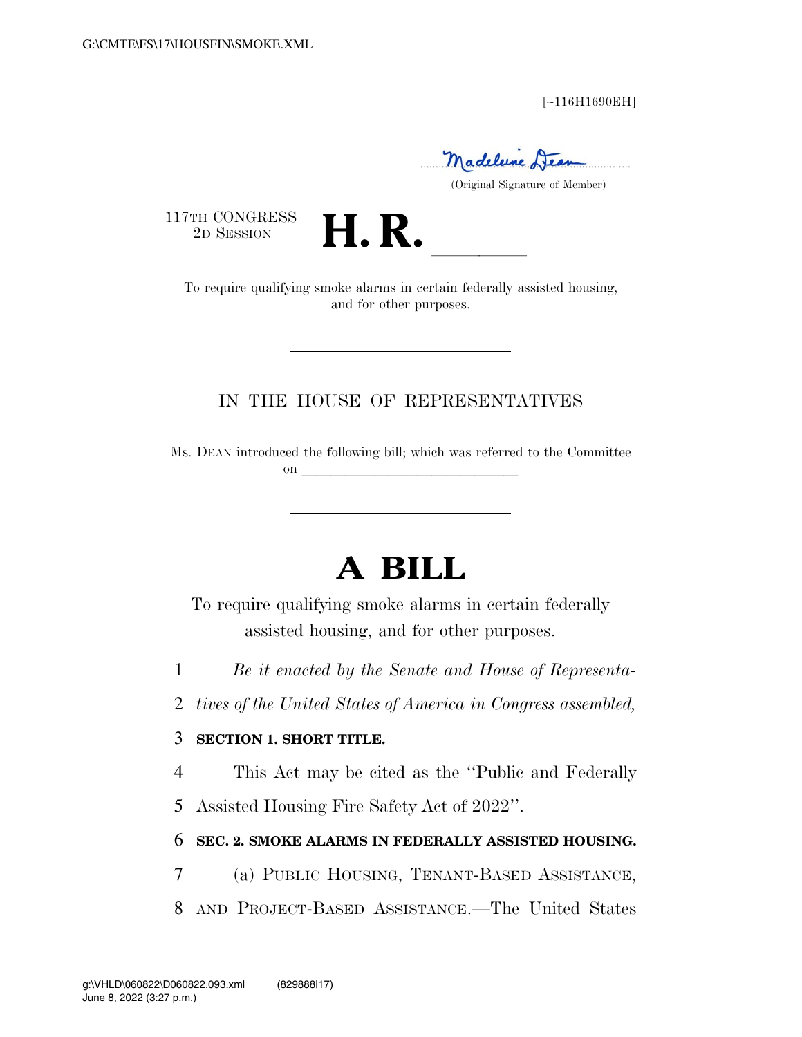[∼116H1690EH]

Madeleine Lieu

(Original Signature of Member)

117TH CONGRESS<br>2D SESSION



TH CONGRESS<br>
2D SESSION **H. R.** <u>Internationally</u> assisted housing, and for other purposes.

## IN THE HOUSE OF REPRESENTATIVES

Ms. DEAN introduced the following bill; which was referred to the Committee on **later and later and later and later and later and later and later and later and later**  $\alpha$ 

# **A BILL**

To require qualifying smoke alarms in certain federally assisted housing, and for other purposes.

- 1 *Be it enacted by the Senate and House of Representa-*
- 2 *tives of the United States of America in Congress assembled,*

#### 3 **SECTION 1. SHORT TITLE.**

4 This Act may be cited as the ''Public and Federally

5 Assisted Housing Fire Safety Act of 2022''.

### 6 **SEC. 2. SMOKE ALARMS IN FEDERALLY ASSISTED HOUSING.**

- 7 (a) PUBLIC HOUSING, TENANT-BASED ASSISTANCE,
- 8 AND PROJECT-BASED ASSISTANCE.—The United States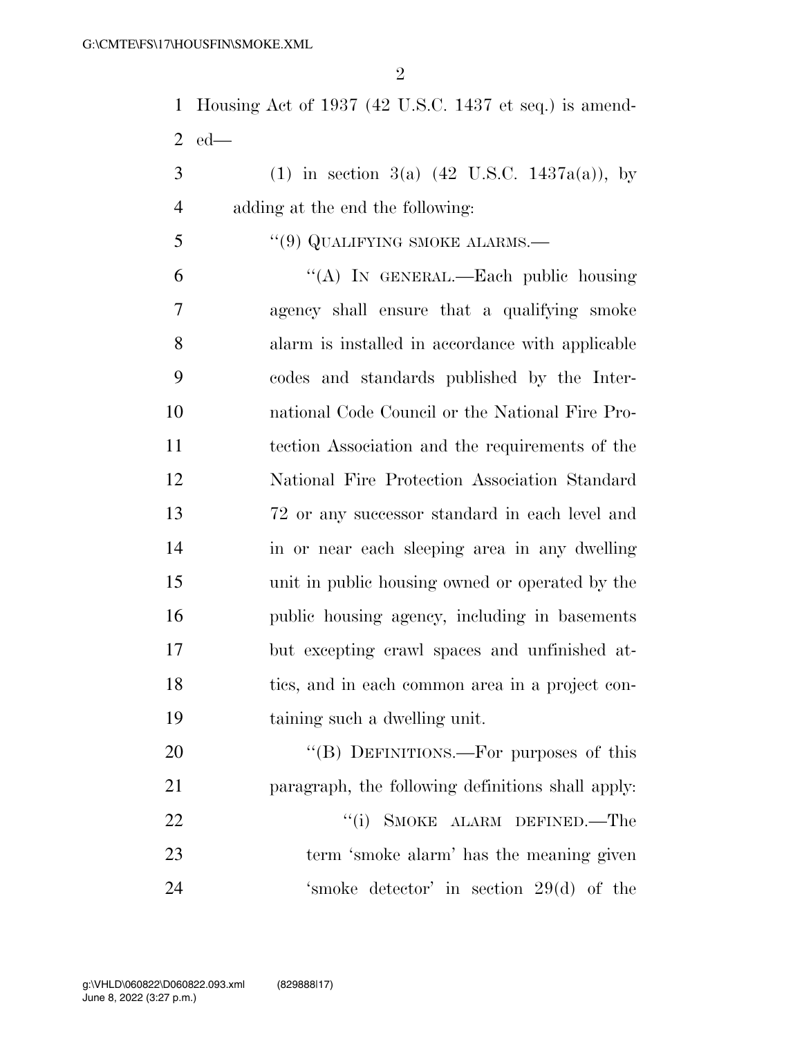$\mathfrak{D}$ 

 Housing Act of 1937 (42 U.S.C. 1437 et seq.) is amend-ed—

3 (1) in section 3(a)  $(42 \text{ U.S.C. } 1437a(a))$ , by adding at the end the following:

## 5 "(9) QUALIFYING SMOKE ALARMS.—

 ''(A) IN GENERAL.—Each public housing agency shall ensure that a qualifying smoke alarm is installed in accordance with applicable codes and standards published by the Inter- national Code Council or the National Fire Pro- tection Association and the requirements of the National Fire Protection Association Standard 72 or any successor standard in each level and in or near each sleeping area in any dwelling unit in public housing owned or operated by the public housing agency, including in basements but excepting crawl spaces and unfinished at- tics, and in each common area in a project con-taining such a dwelling unit.

20 "(B) DEFINITIONS.—For purposes of this paragraph, the following definitions shall apply: 22 "(i) SMOKE ALARM DEFINED.—The term 'smoke alarm' has the meaning given 'smoke detector' in section 29(d) of the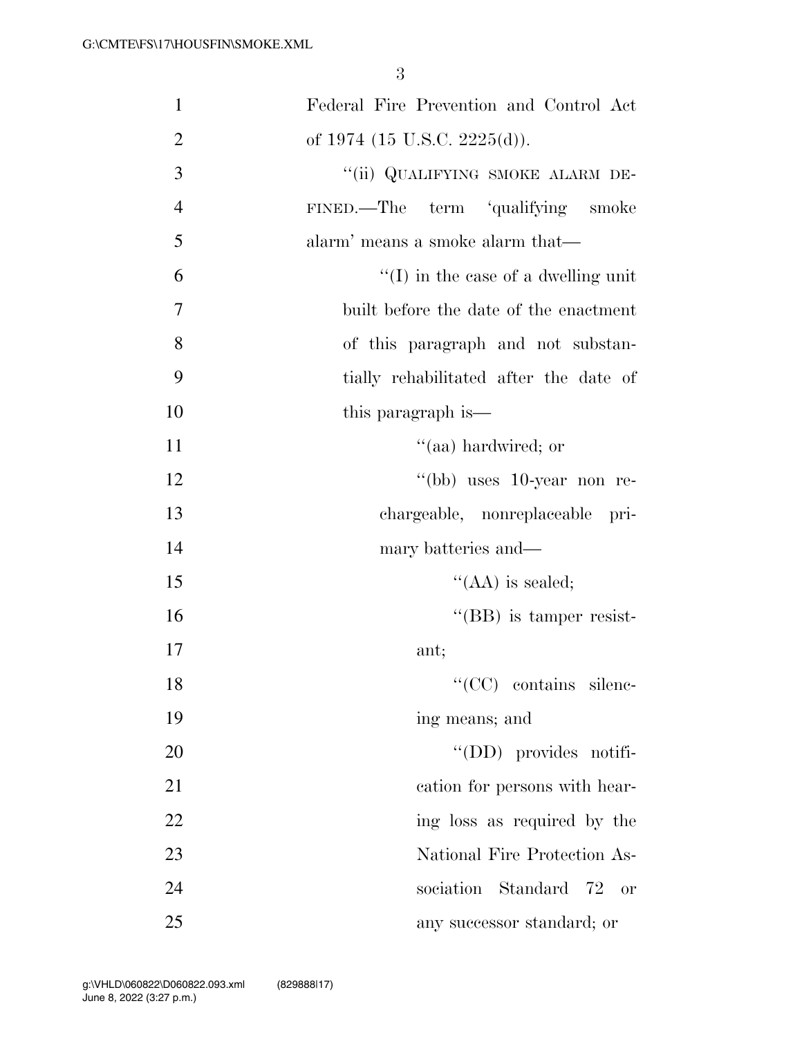| $\mathbf{1}$   | Federal Fire Prevention and Control Act     |
|----------------|---------------------------------------------|
| $\overline{2}$ | of 1974 (15 U.S.C. 2225(d)).                |
| 3              | "(ii) QUALIFYING SMOKE ALARM DE-            |
| $\overline{4}$ | FINED.—The term 'qualifying smoke           |
| 5              | alarm' means a smoke alarm that—            |
| 6              | $\lq\lq$ (I) in the case of a dwelling unit |
| $\overline{7}$ | built before the date of the enactment      |
| 8              | of this paragraph and not substan-          |
| 9              | tially rehabilitated after the date of      |
| 10             | this paragraph is—                          |
| 11             | "(aa) hardwired; or                         |
| 12             | "(bb) uses $10$ -year non re-               |
| 13             | chargeable, nonreplaceable pri-             |
| 14             | mary batteries and—                         |
| 15             | $\lq\lq$ (AA) is sealed;                    |
| 16             | $\lq\lq$ (BB) is tamper resist-             |
| 17             | ant;                                        |
| 18             | $\lq\lq$ CC contains silenc-                |
| 19             | ing means; and                              |
| 20             | "(DD) provides notifi-                      |
| 21             | cation for persons with hear-               |
| 22             | ing loss as required by the                 |
| 23             | National Fire Protection As-                |
| 24             | sociation Standard 72<br>or                 |
| 25             | any successor standard; or                  |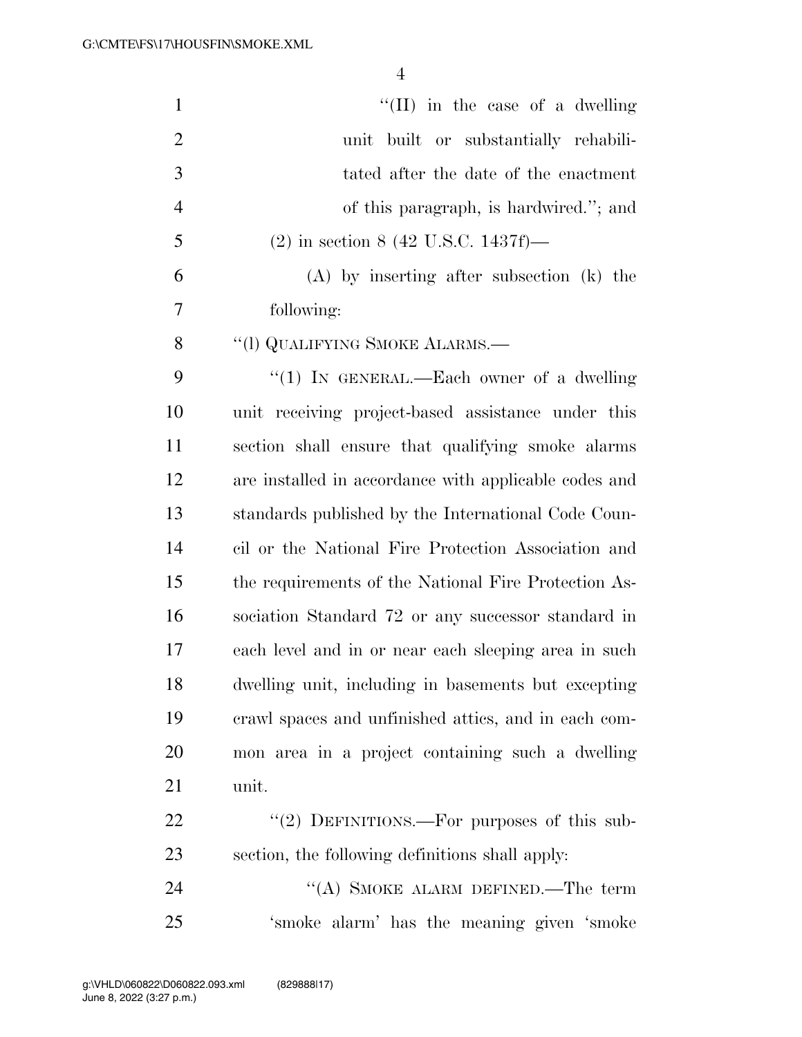| $\mathbf{1}$   | "(II) in the case of a dwelling"                      |
|----------------|-------------------------------------------------------|
| $\overline{2}$ | unit built or substantially rehabili-                 |
| 3              | tated after the date of the enactment                 |
| $\overline{4}$ | of this paragraph, is hardwired."; and                |
| 5              | $(2)$ in section 8 (42 U.S.C. 1437f)—                 |
| 6              | $(A)$ by inserting after subsection $(k)$ the         |
| 7              | following:                                            |
| 8              | "(1) QUALIFYING SMOKE ALARMS.—                        |
| 9              | "(1) IN GENERAL.—Each owner of a dwelling             |
| 10             | unit receiving project-based assistance under this    |
| 11             | section shall ensure that qualifying smoke alarms     |
| 12             | are installed in accordance with applicable codes and |
| 13             | standards published by the International Code Coun-   |
| 14             | cil or the National Fire Protection Association and   |
| 15             | the requirements of the National Fire Protection As-  |
| 16             | sociation Standard 72 or any successor standard in    |
| 17             | each level and in or near each sleeping area in such  |
| 18             | dwelling unit, including in basements but excepting   |
| 19             | erawl spaces and unfinished attics, and in each com-  |
| 20             | mon area in a project containing such a dwelling      |
| 21             | unit.                                                 |
| 22             | "(2) DEFINITIONS.—For purposes of this sub-           |
| 23             | section, the following definitions shall apply:       |
| 24             | "(A) SMOKE ALARM DEFINED.—The term                    |
| 25             | 'smoke alarm' has the meaning given 'smoke            |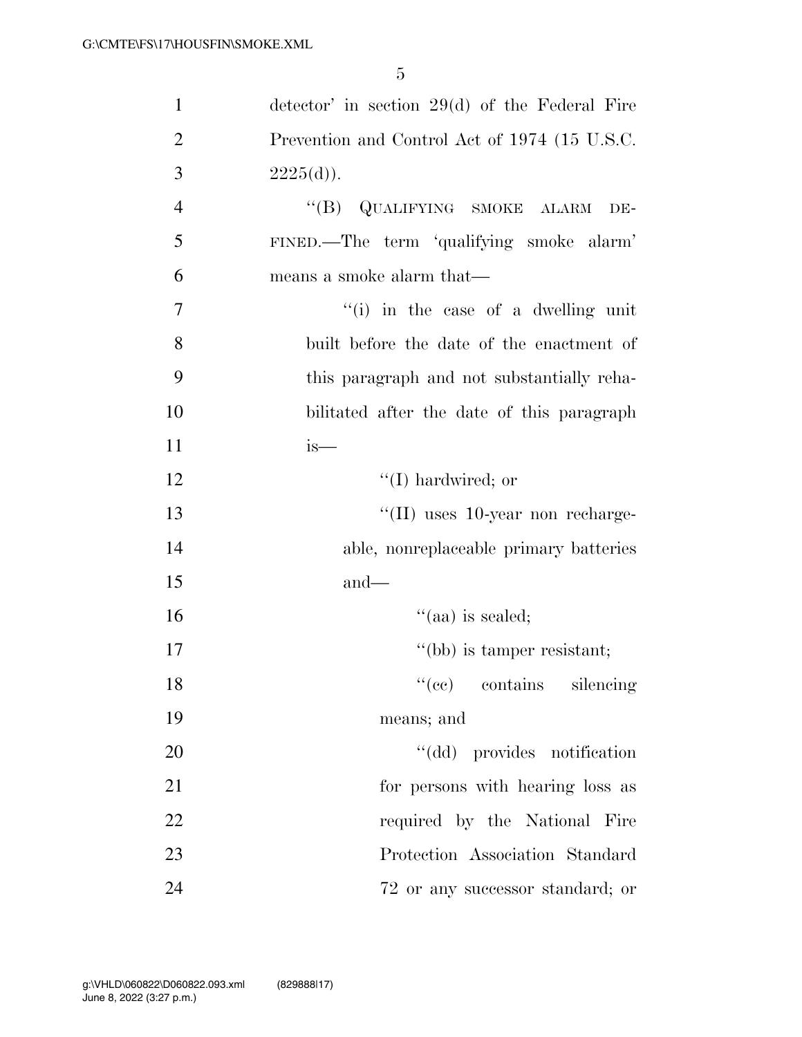| $\mathbf{1}$   | detector' in section $29(d)$ of the Federal Fire |
|----------------|--------------------------------------------------|
| $\overline{2}$ | Prevention and Control Act of 1974 (15 U.S.C.    |
| 3              | $2225(d)$ .                                      |
| $\overline{4}$ | "(B) QUALIFYING SMOKE ALARM DE-                  |
| 5              | FINED.-The term 'qualifying smoke alarm'         |
| 6              | means a smoke alarm that—                        |
| $\overline{7}$ | $f'(i)$ in the case of a dwelling unit           |
| 8              | built before the date of the enactment of        |
| 9              | this paragraph and not substantially reha-       |
| 10             | bilitated after the date of this paragraph       |
| 11             | is—                                              |
| 12             | $\lq (I)$ hardwired; or                          |
| 13             | $\lq$ (II) uses 10-year non recharge-            |
| 14             | able, nonreplaceable primary batteries           |
| 15             | $and$ —                                          |
| 16             | $\cdot$ (aa) is sealed;                          |
| 17             | "(bb) is tamper resistant;                       |
| 18             | "(ce) contains silencing                         |
| 19             | means; and                                       |
| 20             | "(dd) provides notification                      |
| 21             | for persons with hearing loss as                 |
| 22             | required by the National Fire                    |
| 23             | Protection Association Standard                  |
| 24             | 72 or any successor standard; or                 |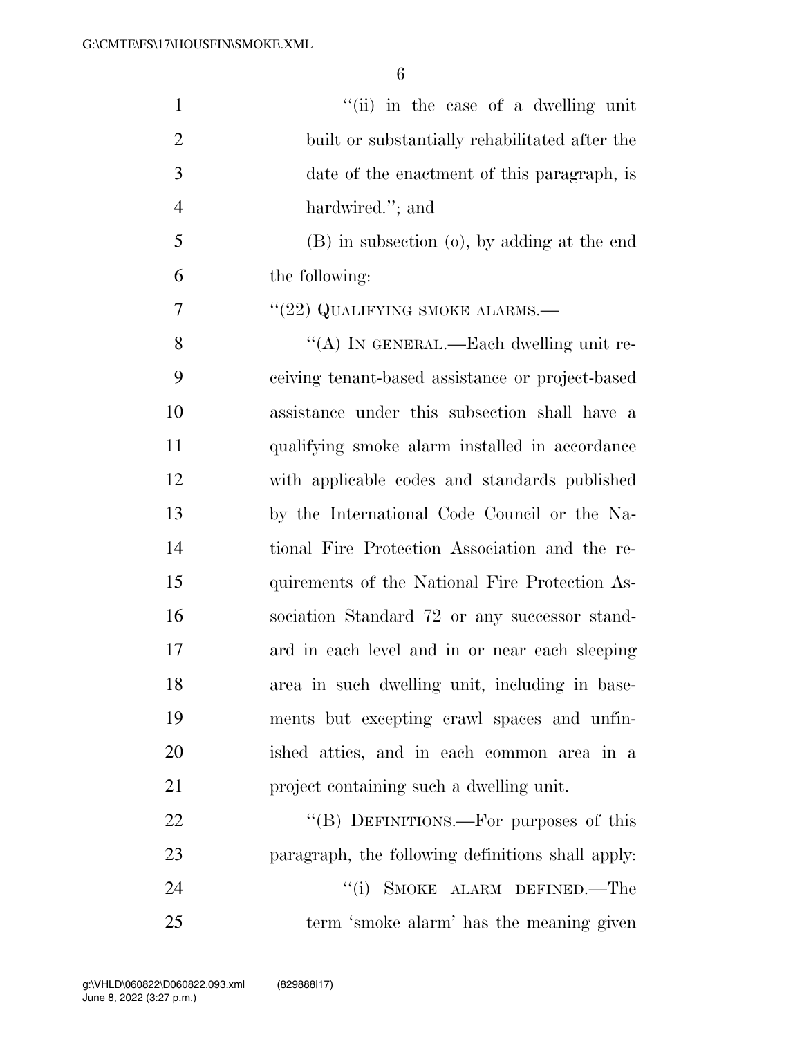| $\mathbf{1}$   | "(ii) in the case of a dwelling unit              |
|----------------|---------------------------------------------------|
| $\overline{2}$ | built or substantially rehabilitated after the    |
| 3              | date of the enactment of this paragraph, is       |
| 4              | hardwired."; and                                  |
| 5              | (B) in subsection (o), by adding at the end       |
| 6              | the following:                                    |
| $\overline{7}$ | "(22) QUALIFYING SMOKE ALARMS.—                   |
| 8              | "(A) IN GENERAL.—Each dwelling unit re-           |
| 9              | ceiving tenant-based assistance or project-based  |
| 10             | assistance under this subsection shall have a     |
| 11             | qualifying smoke alarm installed in accordance    |
| 12             | with applicable codes and standards published     |
| 13             | by the International Code Council or the Na-      |
| 14             | tional Fire Protection Association and the re-    |
| 15             | quirements of the National Fire Protection As-    |
| 16             | sociation Standard 72 or any successor stand-     |
| 17             | ard in each level and in or near each sleeping    |
| 18             | area in such dwelling unit, including in base-    |
| 19             | ments but excepting crawl spaces and unfin-       |
| 20             | ished attics, and in each common area in a        |
| 21             | project containing such a dwelling unit.          |
| 22             | "(B) DEFINITIONS.—For purposes of this            |
| 23             | paragraph, the following definitions shall apply. |
| 24             | SMOKE ALARM DEFINED.-The<br>``(i)                 |
| 25             | term 'smoke alarm' has the meaning given          |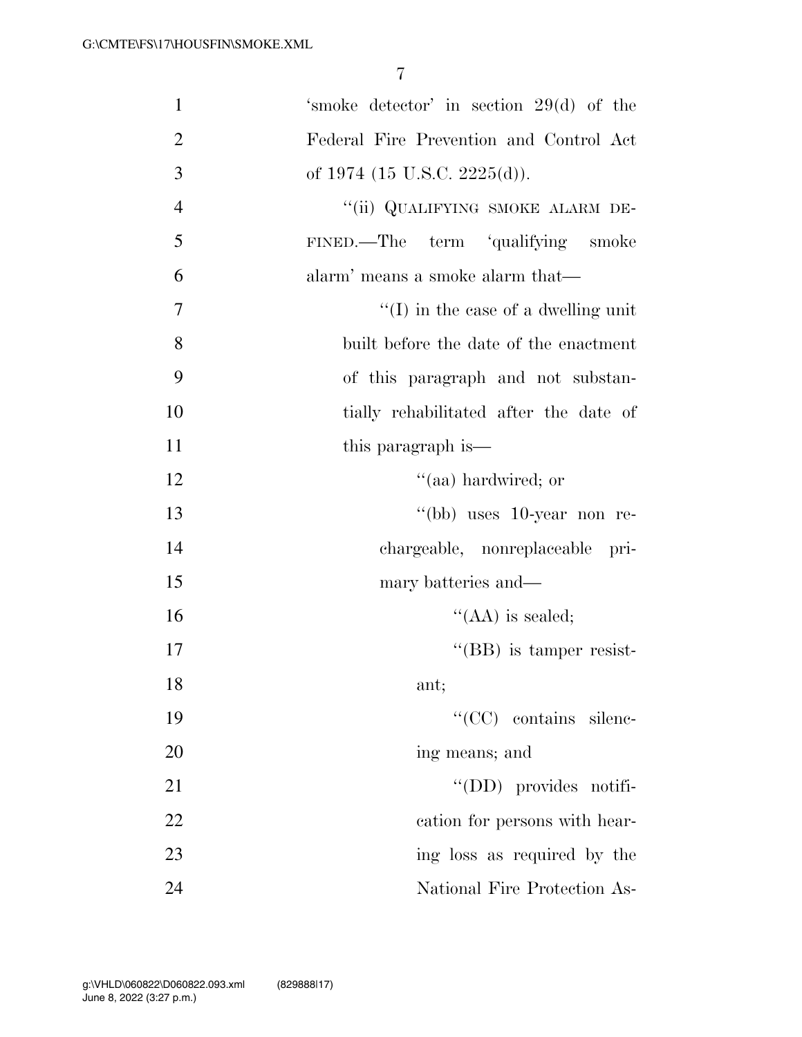| $\mathbf{1}$   | 'smoke detector' in section 29(d) of the    |
|----------------|---------------------------------------------|
| $\overline{2}$ | Federal Fire Prevention and Control Act     |
| 3              | of 1974 (15 U.S.C. 2225(d)).                |
| $\overline{4}$ | "(ii) QUALIFYING SMOKE ALARM DE-            |
| 5              | FINED.—The term 'qualifying smoke           |
| 6              | alarm' means a smoke alarm that—            |
| 7              | $\lq\lq$ (I) in the case of a dwelling unit |
| 8              | built before the date of the enactment      |
| 9              | of this paragraph and not substan-          |
| 10             | tially rehabilitated after the date of      |
| 11             | this paragraph is—                          |
| 12             | "(aa) hardwired; or                         |
| 13             | "(bb) uses 10-year non re-                  |
| 14             | chargeable, nonreplaceable pri-             |
| 15             | mary batteries and—                         |
| 16             | $\lq\lq$ (AA) is sealed;                    |
| 17             | "(BB) is tamper resist-                     |
| 18             | ant;                                        |
| 19             | "(CC) contains silenc-                      |
| 20             | ing means; and                              |
| 21             | "(DD) provides notifi-                      |
| 22             | cation for persons with hear-               |
| 23             | ing loss as required by the                 |
| 24             | National Fire Protection As-                |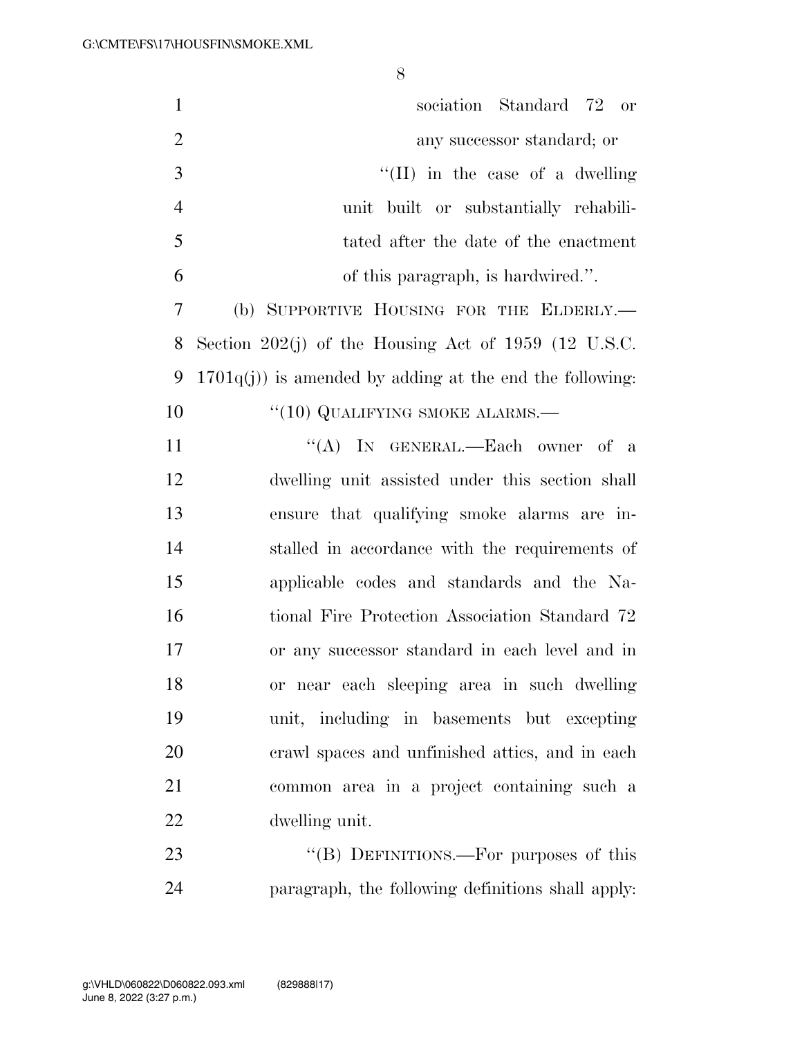| $\mathbf{1}$   | sociation Standard 72 or                                  |
|----------------|-----------------------------------------------------------|
| $\overline{2}$ | any successor standard; or                                |
| 3              | $\lq\lq$ (II) in the case of a dwelling                   |
| $\overline{4}$ | unit built or substantially rehabili-                     |
| 5              | tated after the date of the enactment                     |
| 6              | of this paragraph, is hardwired.".                        |
| 7              | (b) SUPPORTIVE HOUSING FOR THE ELDERLY.                   |
| 8              | Section 202(j) of the Housing Act of 1959 (12 U.S.C.      |
| 9              | $1701q(j)$ is amended by adding at the end the following: |
| 10             | $``(10)$ QUALIFYING SMOKE ALARMS.—                        |
| 11             | "(A) IN GENERAL.—Each owner of a                          |
| 12             | dwelling unit assisted under this section shall           |
| 13             | ensure that qualifying smoke alarms are in-               |
| 14             | stalled in accordance with the requirements of            |
| 15             | applicable codes and standards and the Na-                |
| 16             | tional Fire Protection Association Standard 72            |
| 17             | or any successor standard in each level and in            |
| 18             | or near each sleeping area in such dwelling               |
| 19             | unit, including in basements but excepting                |
| 20             | erawl spaces and unfinished attics, and in each           |
| 21             | common area in a project containing such a                |
| 22             | dwelling unit.                                            |
| 23             | "(B) DEFINITIONS.—For purposes of this                    |
| 24             | paragraph, the following definitions shall apply:         |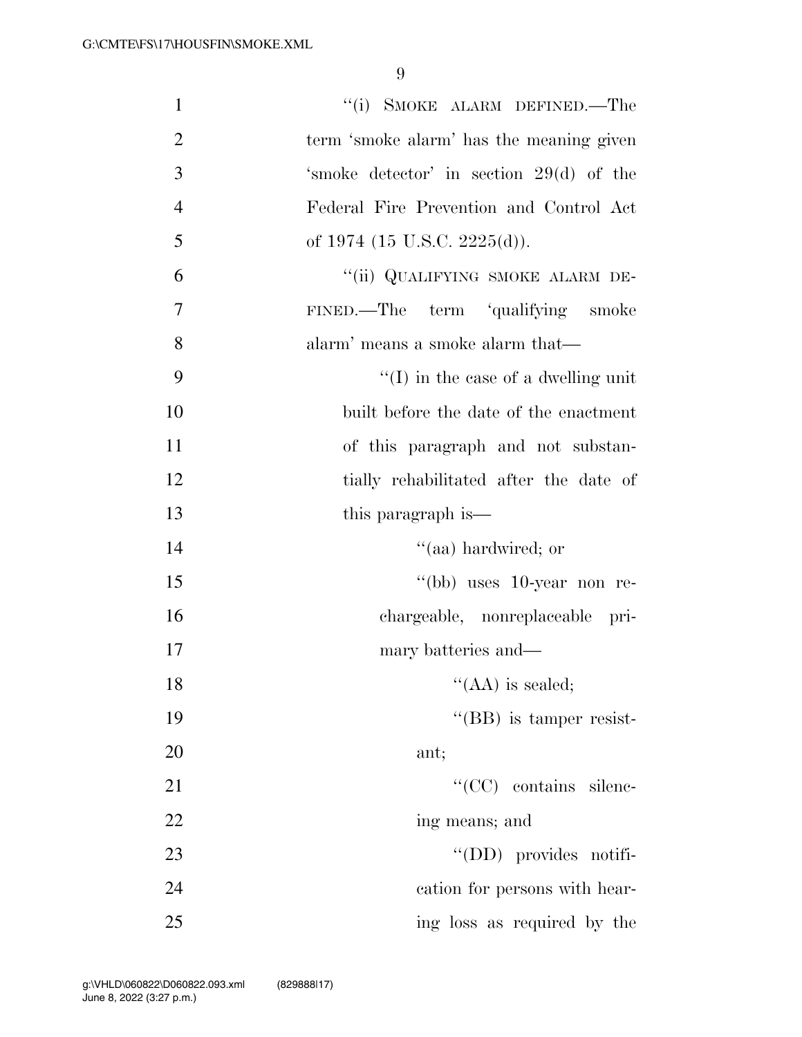| $\mathbf{1}$   | "(i) SMOKE ALARM DEFINED.—The               |
|----------------|---------------------------------------------|
| $\overline{2}$ | term 'smoke alarm' has the meaning given    |
| 3              | 'smoke detector' in section 29(d) of the    |
| $\overline{4}$ | Federal Fire Prevention and Control Act     |
| 5              | of 1974 (15 U.S.C. 2225(d)).                |
| 6              | "(ii) QUALIFYING SMOKE ALARM DE-            |
| $\tau$         | term 'qualifying smoke<br>FINED.—The        |
| 8              | alarm' means a smoke alarm that—            |
| 9              | $\lq\lq$ (I) in the case of a dwelling unit |
| 10             | built before the date of the enactment      |
| 11             | of this paragraph and not substan-          |
| 12             | tially rehabilitated after the date of      |
| 13             | this paragraph is—                          |
| 14             | "(aa) hardwired; or                         |
| 15             | "(bb) uses 10-year non re-                  |
| 16             | chargeable, nonreplaceable pri-             |
| 17             | mary batteries and—                         |
| 18             | "(AA) is sealed;                            |
| 19             | $\lq\lq$ (BB) is tamper resist-             |
| 20             | ant;                                        |
| 21             | "(CC) contains silenc-                      |
| 22             | ing means; and                              |
| 23             | $\lq\lq$ (DD) provides notifi-              |
| 24             | cation for persons with hear-               |
| 25             | ing loss as required by the                 |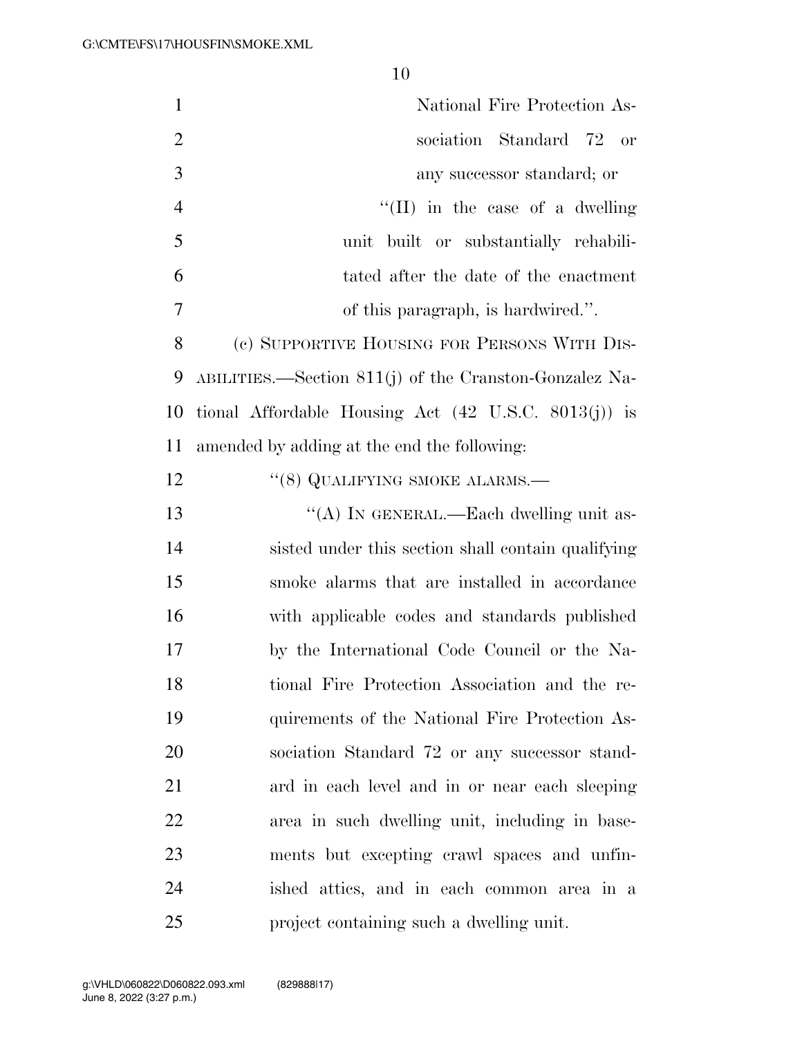| $\mathbf{1}$   | National Fire Protection As-                                    |
|----------------|-----------------------------------------------------------------|
| $\overline{2}$ | sociation Standard 72<br>or                                     |
| 3              | any successor standard; or                                      |
| $\overline{4}$ | "(II) in the case of a dwelling"                                |
| 5              | built or substantially rehabili-<br>unit                        |
| 6              | tated after the date of the enactment                           |
| 7              | of this paragraph, is hardwired.".                              |
| 8              | (c) SUPPORTIVE HOUSING FOR PERSONS WITH DIS-                    |
| 9              | ABILITIES.—Section 811(j) of the Cranston-Gonzalez Na-          |
| 10             | tional Affordable Housing Act $(42 \text{ U.S.C. } 8013(j))$ is |
| 11             | amended by adding at the end the following:                     |
| 12             | "(8) QUALIFYING SMOKE ALARMS.—                                  |
| 13             | "(A) IN GENERAL.—Each dwelling unit as-                         |
| 14             | sisted under this section shall contain qualifying              |
| 15             | smoke alarms that are installed in accordance                   |
| 16             | with applicable codes and standards published                   |
| 17             | by the International Code Council or the Na-                    |
| 18             | tional Fire Protection Association and the re-                  |
| 19             | quirements of the National Fire Protection As-                  |
| 20             | sociation Standard 72 or any successor stand-                   |
| 21             | ard in each level and in or near each sleeping                  |
| 22             | area in such dwelling unit, including in base-                  |
| 23             | ments but excepting crawl spaces and unfin-                     |
| 24             | ished attics, and in each common area in a                      |
| 25             | project containing such a dwelling unit.                        |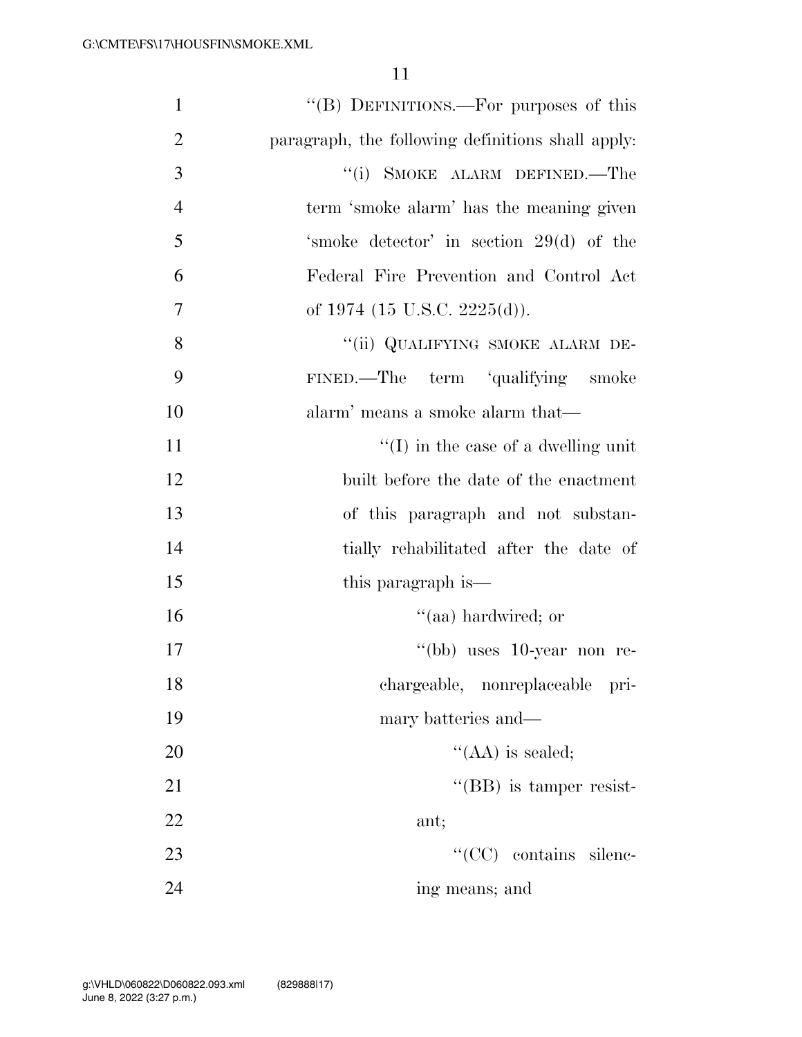| $\mathbf{1}$   | "(B) DEFINITIONS.—For purposes of this            |
|----------------|---------------------------------------------------|
| $\overline{2}$ | paragraph, the following definitions shall apply: |
| 3              | "(i) SMOKE ALARM DEFINED.—The                     |
| $\overline{4}$ | term 'smoke alarm' has the meaning given          |
| 5              | 'smoke detector' in section 29(d) of the          |
| 6              | Federal Fire Prevention and Control Act           |
| $\overline{7}$ | of 1974 (15 U.S.C. 2225(d)).                      |
| 8              | "(ii) QUALIFYING SMOKE ALARM DE-                  |
| 9              | FINED.—The term 'qualifying smoke                 |
| 10             | alarm' means a smoke alarm that—                  |
| 11             | $\lq\lq$ (I) in the case of a dwelling unit       |
| 12             | built before the date of the enactment            |
| 13             | of this paragraph and not substan-                |
| 14             | tially rehabilitated after the date of            |
| 15             | this paragraph is—                                |
| 16             | "(aa) hardwired; or                               |
| 17             | "(bb) uses $10$ -year non re-                     |
| 18             | chargeable, nonreplaceable pri-                   |
| 19             | mary batteries and—                               |
| 20             | $\lq\lq$ (AA) is sealed;                          |
| 21             | $\lq\lq$ (BB) is tamper resist-                   |
| 22             | ant;                                              |
| 23             | "(CC) contains silenc-                            |
| 24             | ing means; and                                    |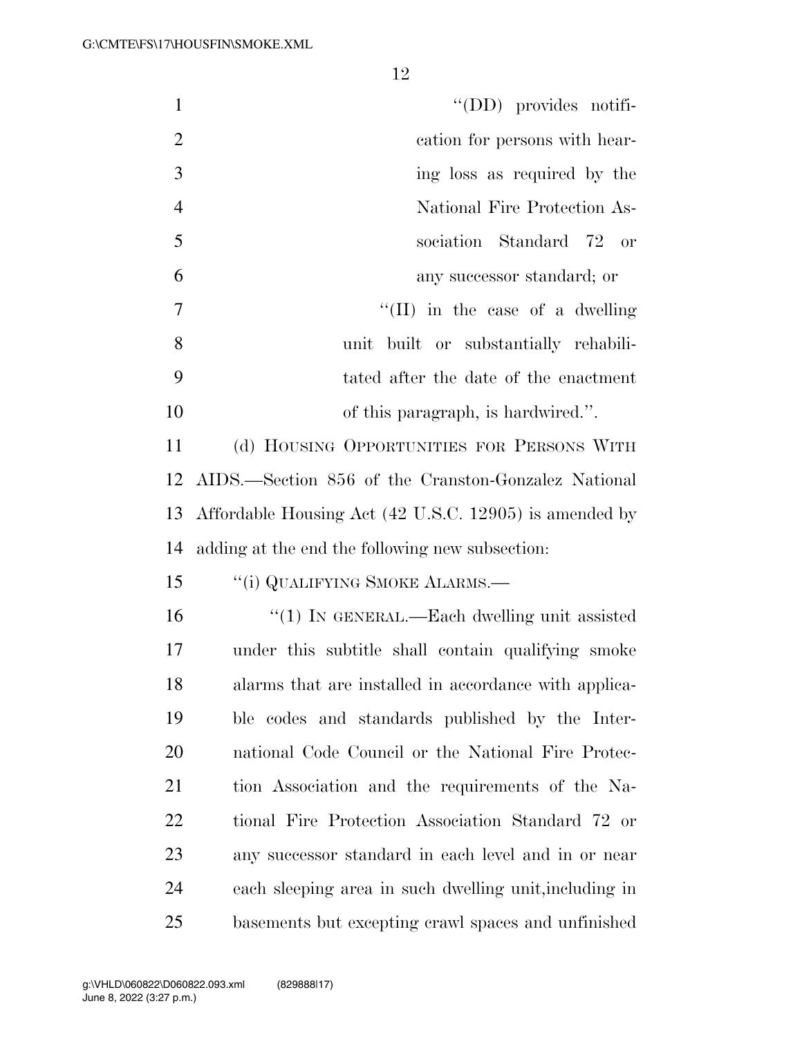| $\mathbf{1}$   | $\lq\lq$ (DD) provides notifi-                            |
|----------------|-----------------------------------------------------------|
| $\overline{2}$ | cation for persons with hear-                             |
| 3              | ing loss as required by the                               |
| $\overline{4}$ | National Fire Protection As-                              |
| 5              | sociation Standard 72 or                                  |
| 6              | any successor standard; or                                |
| $\overline{7}$ | "(II) in the case of a dwelling"                          |
| 8              | built or substantially rehabili-<br>unit                  |
| 9              | tated after the date of the enactment                     |
| 10             | of this paragraph, is hardwired.".                        |
| 11             | (d) HOUSING OPPORTUNITIES FOR PERSONS WITH                |
| 12             | AIDS.—Section 856 of the Cranston-Gonzalez National       |
|                | 13 Affordable Housing Act (42 U.S.C. 12905) is amended by |
| 14             | adding at the end the following new subsection:           |
| 15             | "(i) QUALIFYING SMOKE ALARMS.—                            |
| 16             | "(1) IN GENERAL.—Each dwelling unit assisted              |
| 17             | under this subtitle shall contain qualifying smoke        |
| 18             | alarms that are installed in accordance with applica-     |
| 19             | ble codes and standards published by the Inter-           |
| 20             | national Code Council or the National Fire Protec-        |
| 21             | tion Association and the requirements of the Na-          |
| 22             | tional Fire Protection Association Standard 72 or         |
| 23             | any successor standard in each level and in or near       |
| 24             | each sleeping area in such dwelling unit, including in    |

basements but excepting crawl spaces and unfinished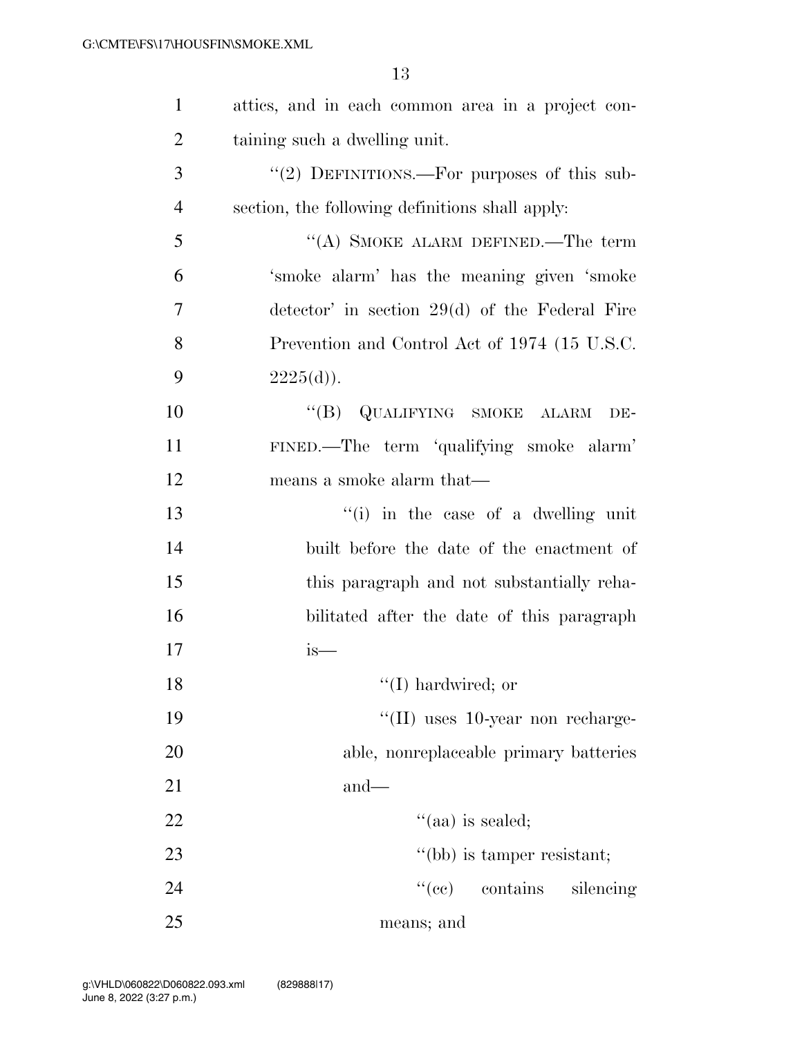| $\mathbf{1}$   | attics, and in each common area in a project con-       |
|----------------|---------------------------------------------------------|
| $\overline{2}$ | taining such a dwelling unit.                           |
| 3              | "(2) DEFINITIONS.—For purposes of this sub-             |
| $\overline{4}$ | section, the following definitions shall apply:         |
| 5              | "(A) SMOKE ALARM DEFINED.—The term                      |
| 6              | 'smoke alarm' has the meaning given 'smoke              |
| 7              | $\alpha$ detector' in section 29(d) of the Federal Fire |
| 8              | Prevention and Control Act of 1974 (15 U.S.C.           |
| 9              | $2225(d)$ .                                             |
| 10             | "(B) QUALIFYING SMOKE ALARM<br>DE-                      |
| 11             | FINED.—The term 'qualifying smoke alarm'                |
| 12             | means a smoke alarm that—                               |
| 13             | "(i) in the case of a dwelling unit                     |
| 14             | built before the date of the enactment of               |
| 15             | this paragraph and not substantially reha-              |
| 16             | bilitated after the date of this paragraph              |
| 17             | is—                                                     |
| 18             | $\lq\lq$ (I) hardwired; or                              |
| 19             | $\lq$ (II) uses 10-year non recharge-                   |
| 20             | able, nonreplaceable primary batteries                  |
| 21             | $and-$                                                  |
| 22             | $\cdot$ (aa) is sealed;                                 |
| 23             | "(bb) is tamper resistant;                              |
| 24             | ``(ee)<br>contains<br>silencing                         |
| 25             | means; and                                              |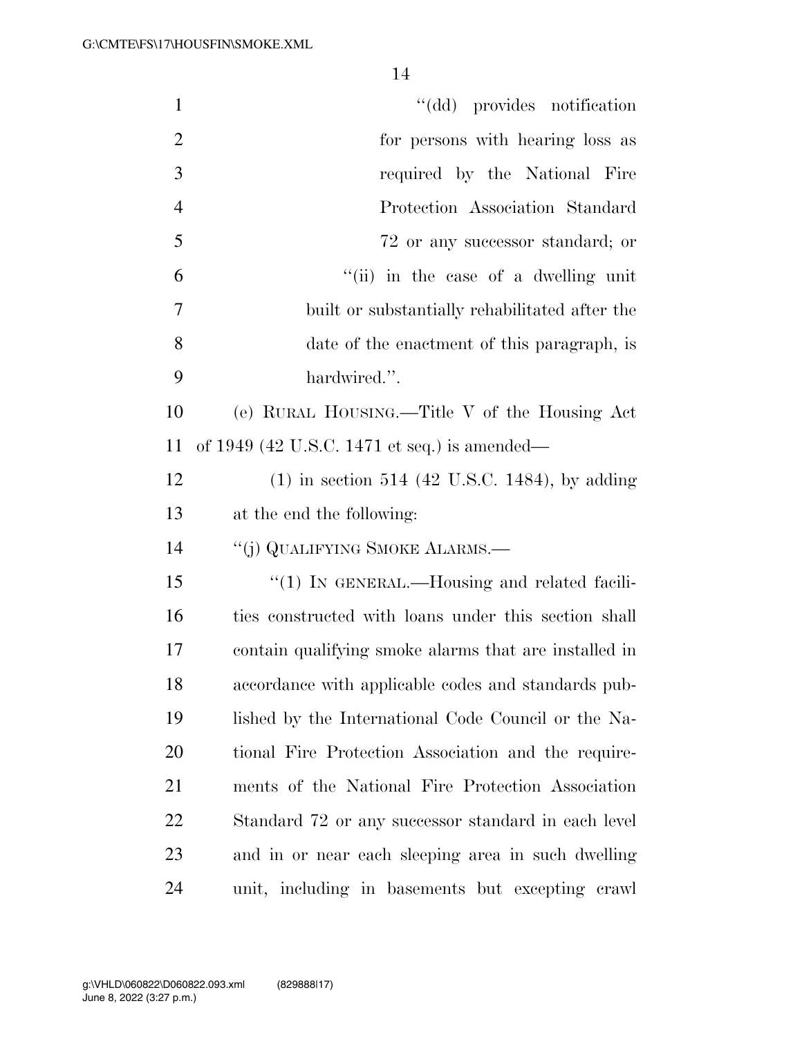| $\mathbf{1}$   | "(dd) provides notification                           |
|----------------|-------------------------------------------------------|
| $\overline{2}$ | for persons with hearing loss as                      |
| 3              | required by the National Fire                         |
| $\overline{4}$ | Protection Association Standard                       |
| 5              | 72 or any successor standard; or                      |
| 6              | "(ii) in the case of a dwelling unit                  |
| 7              | built or substantially rehabilitated after the        |
| 8              | date of the enactment of this paragraph, is           |
| 9              | hardwired.".                                          |
| 10             | (e) RURAL HOUSING.—Title V of the Housing Act         |
| 11             | of 1949 (42 U.S.C. 1471 et seq.) is amended—          |
| 12             | $(1)$ in section 514 (42 U.S.C. 1484), by adding      |
| 13             | at the end the following:                             |
| 14             | "(j) QUALIFYING SMOKE ALARMS.—                        |
| 15             | "(1) IN GENERAL.—Housing and related facili-          |
| 16             | ties constructed with loans under this section shall  |
| 17             | contain qualifying smoke alarms that are installed in |
| 18             | accordance with applicable codes and standards pub-   |
| 19             | lished by the International Code Council or the Na-   |
| 20             | tional Fire Protection Association and the require-   |
| 21             | ments of the National Fire Protection Association     |
| 22             | Standard 72 or any successor standard in each level   |
| 23             | and in or near each sleeping area in such dwelling    |
| 24             | unit, including in basements but excepting crawl      |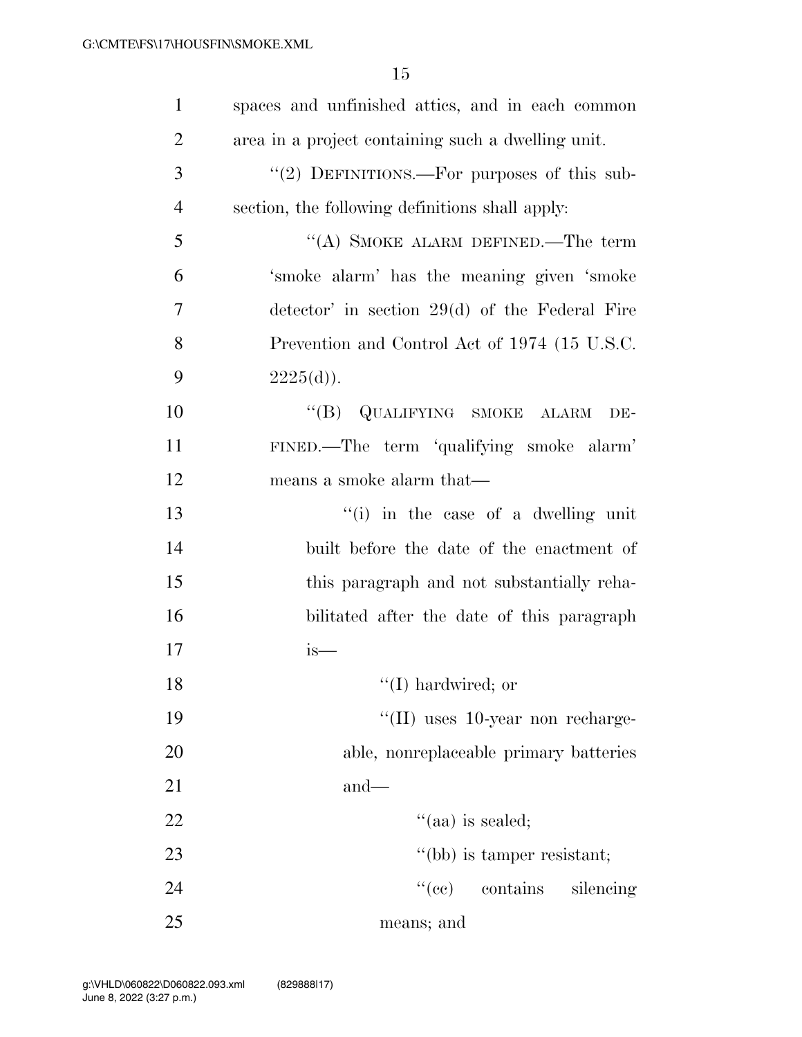| $\mathbf{1}$   | spaces and unfinished attics, and in each common        |
|----------------|---------------------------------------------------------|
| $\overline{2}$ | area in a project containing such a dwelling unit.      |
| 3              | "(2) DEFINITIONS.—For purposes of this sub-             |
| $\overline{4}$ | section, the following definitions shall apply:         |
| 5              | "(A) SMOKE ALARM DEFINED.—The term                      |
| 6              | 'smoke alarm' has the meaning given 'smoke              |
| $\overline{7}$ | $\alpha$ detector' in section 29(d) of the Federal Fire |
| 8              | Prevention and Control Act of 1974 (15 U.S.C.           |
| 9              | $2225(d)$ .                                             |
| 10             | "(B) QUALIFYING SMOKE ALARM<br>DE-                      |
| 11             | FINED.—The term 'qualifying smoke alarm'                |
| 12             | means a smoke alarm that—                               |
| 13             | "(i) in the case of a dwelling unit                     |
| 14             | built before the date of the enactment of               |
| 15             | this paragraph and not substantially reha-              |
| 16             | bilitated after the date of this paragraph              |
| 17             | is—                                                     |
| 18             | $\lq\lq$ (I) hardwired; or                              |
| 19             | $\lq$ (II) uses 10-year non recharge-                   |
| 20             | able, nonreplaceable primary batteries                  |
| 21             | $and$ —                                                 |
| 22             | $\cdot$ (aa) is sealed;                                 |
| 23             | "(bb) is tamper resistant;                              |
| 24             | ``(ee)<br>contains<br>silencing                         |
| 25             | means; and                                              |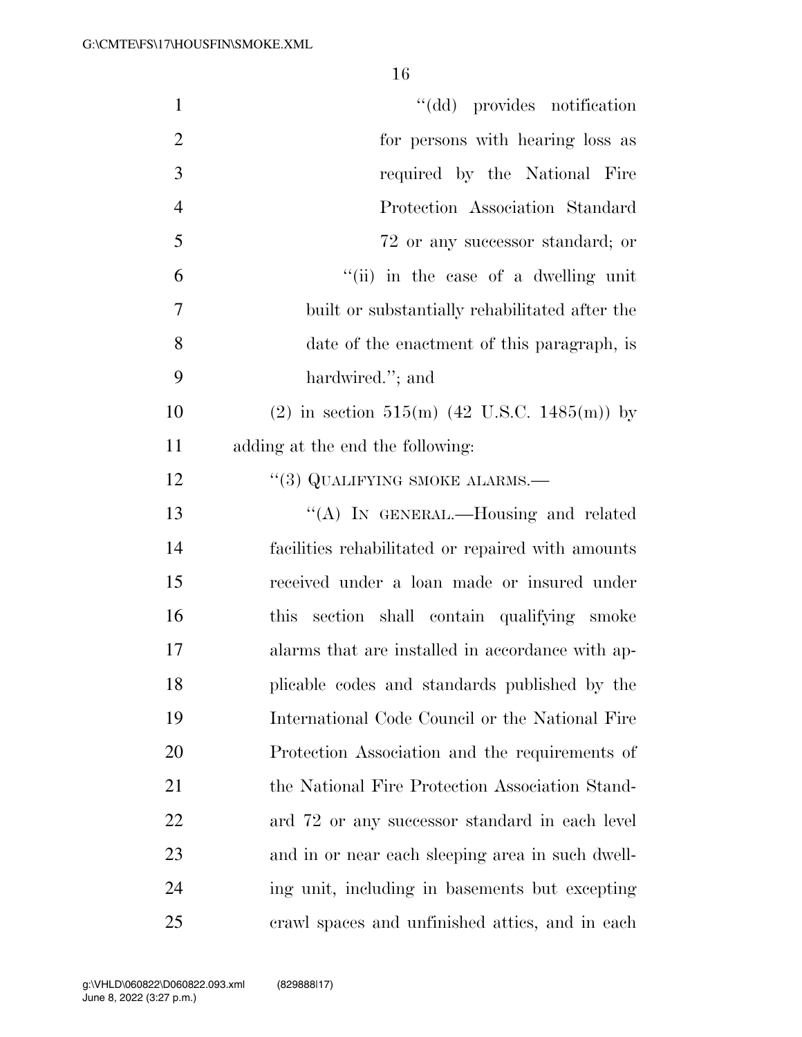| $\mathbf{1}$   | "(dd) provides notification                             |
|----------------|---------------------------------------------------------|
| $\overline{2}$ | for persons with hearing loss as                        |
| 3              | required by the National Fire                           |
| $\overline{4}$ | Protection Association Standard                         |
| 5              | 72 or any successor standard; or                        |
| 6              | "(ii) in the case of a dwelling unit                    |
| $\overline{7}$ | built or substantially rehabilitated after the          |
| 8              | date of the enactment of this paragraph, is             |
| 9              | hardwired."; and                                        |
| 10             | (2) in section 515(m) $(42 \text{ U.S.C. } 1485(m))$ by |
| 11             | adding at the end the following:                        |
| 12             | $``(3)$ QUALIFYING SMOKE ALARMS.—                       |
| 13             | "(A) IN GENERAL.—Housing and related                    |
| 14             | facilities rehabilitated or repaired with amounts       |
| 15             | received under a loan made or insured under             |
| 16             | this section shall contain qualifying smoke             |
| 17             | alarms that are installed in accordance with ap-        |
| 18             | plicable codes and standards published by the           |
| 19             | International Code Council or the National Fire         |
| 20             | Protection Association and the requirements of          |
| 21             | the National Fire Protection Association Stand-         |
| 22             | ard 72 or any successor standard in each level          |
| 23             | and in or near each sleeping area in such dwell-        |
| 24             | ing unit, including in basements but excepting          |
| 25             | erawl spaces and unfinished attics, and in each         |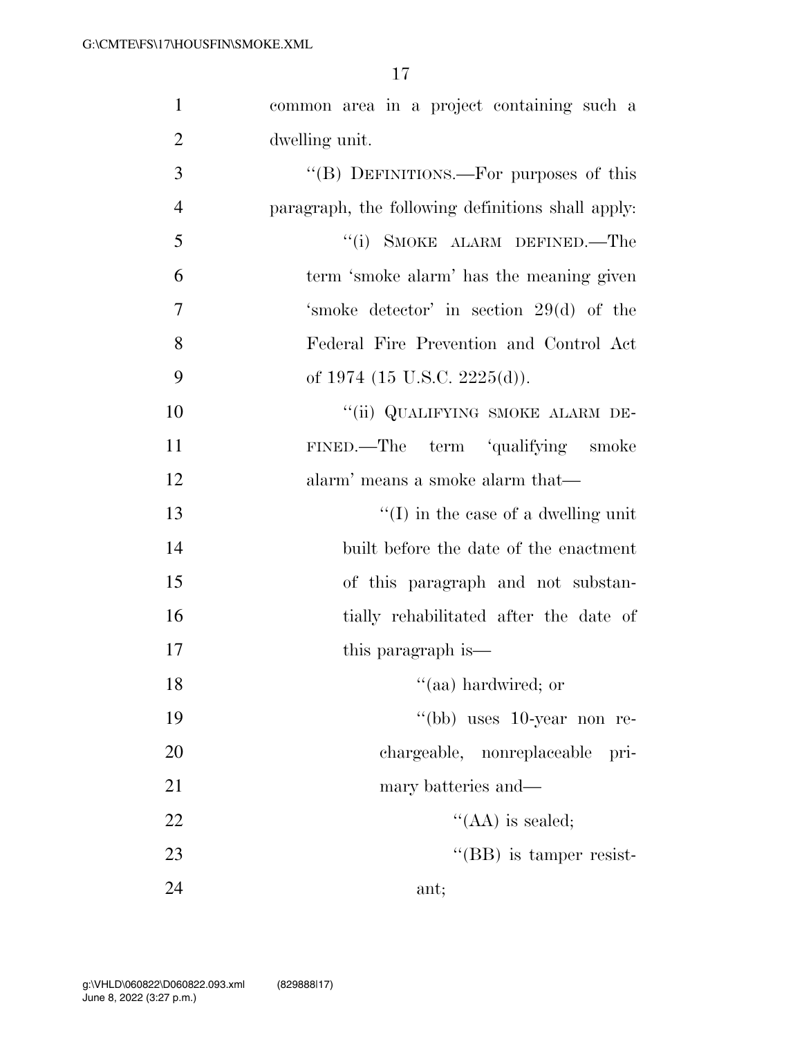| $\mathbf{1}$   | common area in a project containing such a        |
|----------------|---------------------------------------------------|
| $\overline{2}$ | dwelling unit.                                    |
| 3              | "(B) DEFINITIONS.—For purposes of this            |
| $\overline{4}$ | paragraph, the following definitions shall apply. |
| 5              | "(i) SMOKE ALARM DEFINED.—The                     |
| 6              | term 'smoke alarm' has the meaning given          |
| 7              | 'smoke detector' in section 29(d) of the          |
| 8              | Federal Fire Prevention and Control Act           |
| 9              | of 1974 (15 U.S.C. 2225(d)).                      |
| 10             | "(ii) QUALIFYING SMOKE ALARM DE-                  |
| 11             | FINED.—The term 'qualifying smoke                 |
| 12             | alarm' means a smoke alarm that—                  |
| 13             | $\lq\lq$ (I) in the case of a dwelling unit       |
| 14             | built before the date of the enactment            |
| 15             | of this paragraph and not substan-                |
| 16             | tially rehabilitated after the date of            |
| 17             | this paragraph is—                                |
| 18             | "(aa) hardwired; or                               |
| 19             | "(bb) uses 10-year non re-                        |
| 20             | chargeable, nonreplaceable<br>pri-                |
| 21             | mary batteries and—                               |
| 22             | $\lq\lq$ (AA) is sealed;                          |
| 23             | $\lq\lq$ (BB) is tamper resist-                   |
| 24             | ant;                                              |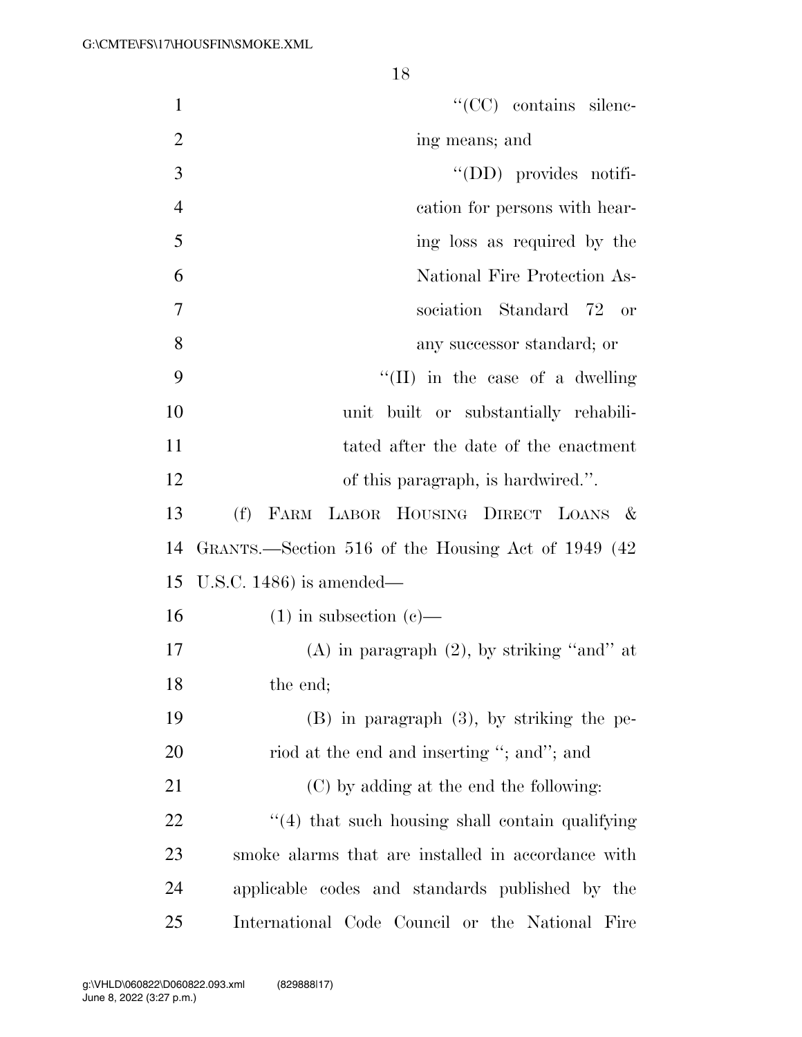| $\mathbf{1}$   | $\lq\lq$ (CC) contains silenc-                      |
|----------------|-----------------------------------------------------|
| $\overline{2}$ | ing means; and                                      |
| 3              | $\lq\lq$ (DD) provides notifi-                      |
| $\overline{4}$ | cation for persons with hear-                       |
| 5              | ing loss as required by the                         |
| 6              | National Fire Protection As-                        |
| 7              | sociation Standard 72 or                            |
| 8              | any successor standard; or                          |
| 9              | "(II) in the case of a dwelling"                    |
| 10             | unit built or substantially rehabili-               |
| 11             | tated after the date of the enactment               |
| 12             | of this paragraph, is hardwired.".                  |
| 13             | FARM LABOR HOUSING DIRECT LOANS &<br>(f)            |
| 14             | GRANTS.—Section 516 of the Housing Act of 1949 (42) |
| 15             | U.S.C. $1486$ ) is amended—                         |
| 16             | $(1)$ in subsection $(e)$ —                         |
| 17             | $(A)$ in paragraph $(2)$ , by striking "and" at     |
| 18             | the end;                                            |
| 19             | $(B)$ in paragraph $(3)$ , by striking the pe-      |
| 20             | riod at the end and inserting "; and"; and          |
| 21             | (C) by adding at the end the following:             |
| 22             | "(4) that such housing shall contain qualifying     |
| 23             | smoke alarms that are installed in accordance with  |
| 24             | applicable codes and standards published by the     |
| 25             | International Code Council or the National Fire     |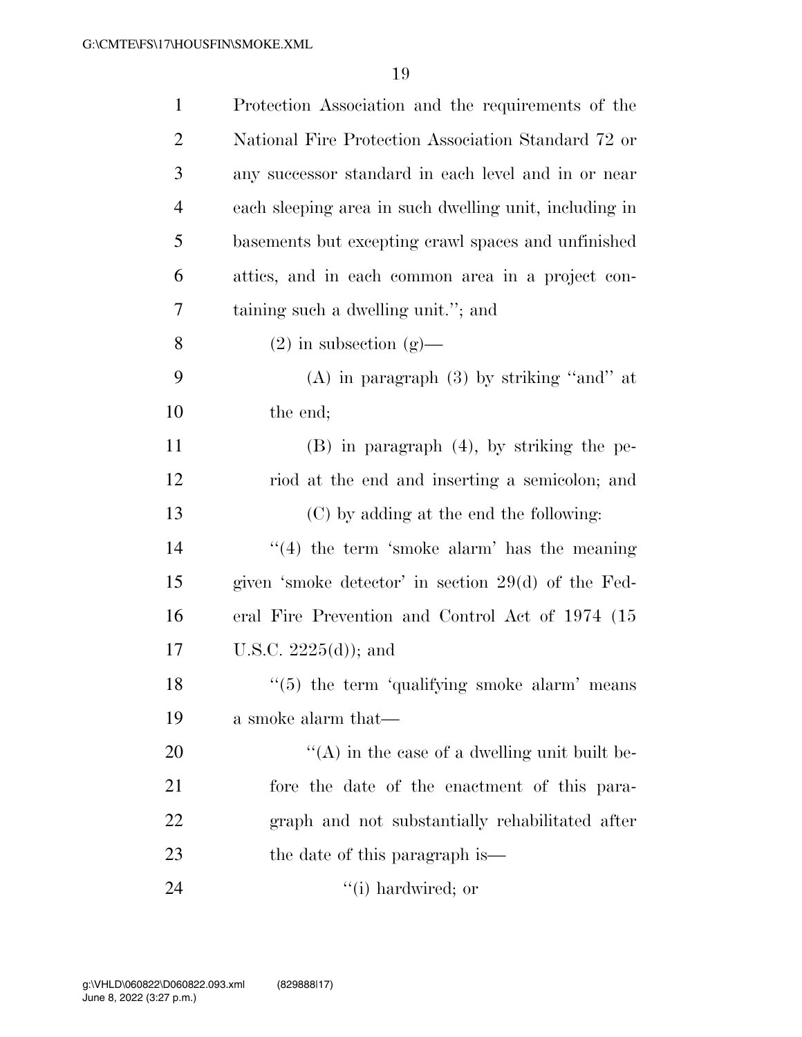| $\mathbf{1}$   | Protection Association and the requirements of the     |
|----------------|--------------------------------------------------------|
| $\overline{2}$ | National Fire Protection Association Standard 72 or    |
| 3              | any successor standard in each level and in or near    |
| $\overline{4}$ | each sleeping area in such dwelling unit, including in |
| 5              | basements but excepting crawl spaces and unfinished    |
| 6              | attics, and in each common area in a project con-      |
| 7              | taining such a dwelling unit."; and                    |
| 8              | $(2)$ in subsection $(g)$ —                            |
| 9              | $(A)$ in paragraph $(3)$ by striking "and" at          |
| 10             | the end;                                               |
| 11             | $(B)$ in paragraph $(4)$ , by striking the pe-         |
| 12             | riod at the end and inserting a semicolon; and         |
| 13             | (C) by adding at the end the following:                |
| 14             | $\lq(4)$ the term 'smoke alarm' has the meaning        |
| 15             | given 'smoke detector' in section 29(d) of the Fed-    |
| 16             | eral Fire Prevention and Control Act of 1974 (15)      |
| 17             | U.S.C. $2225(d)$ ; and                                 |
| 18             | $\lq(5)$ the term 'qualifying smoke alarm' means       |
| 19             | a smoke alarm that—                                    |
| 20             | $\lq\lq$ in the case of a dwelling unit built be-      |
| 21             | fore the date of the enactment of this para-           |
| 22             | graph and not substantially rehabilitated after        |
| 23             | the date of this paragraph is—                         |
| 24             | $f'(i)$ hardwired; or                                  |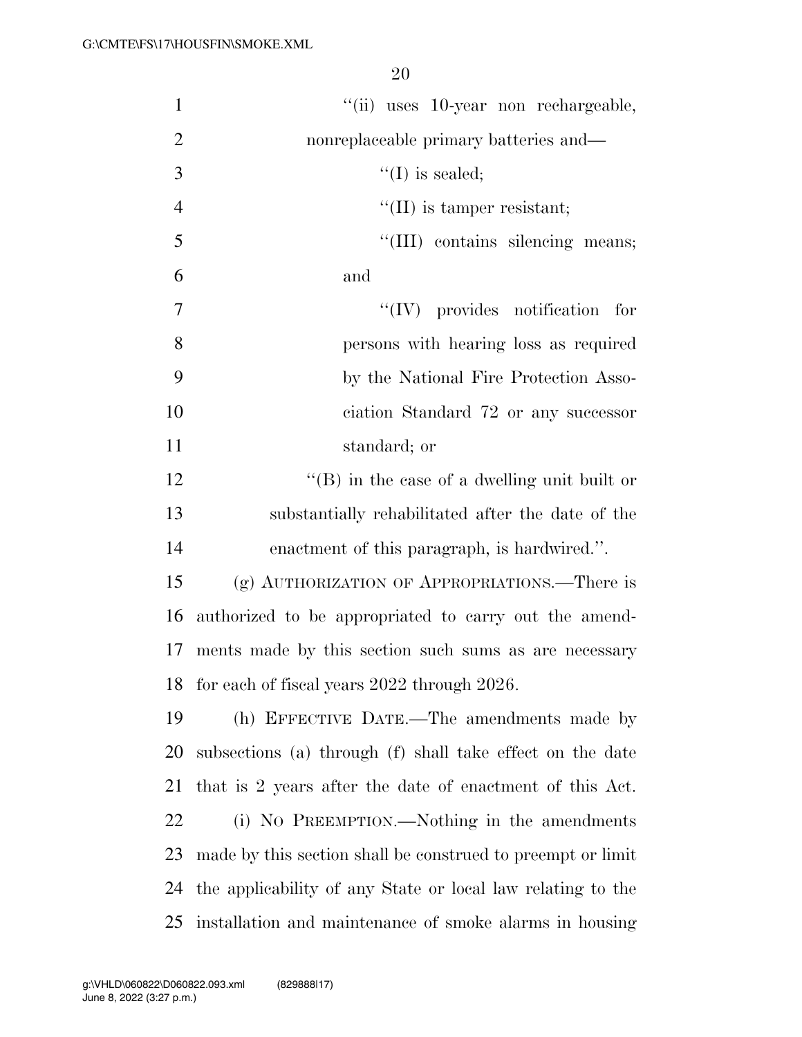| $\mathbf{1}$   | "(ii) uses 10-year non rechargeable,                        |
|----------------|-------------------------------------------------------------|
| $\overline{2}$ | nonreplaceable primary batteries and—                       |
| 3              | $\lq\lq$ (I) is sealed;                                     |
| $\overline{4}$ | $\lq\lq$ (II) is tamper resistant;                          |
| 5              | "(III) contains silencing means;                            |
| 6              | and                                                         |
| $\overline{7}$ | $\lq\lq$ (IV) provides notification for                     |
| 8              | persons with hearing loss as required                       |
| 9              | by the National Fire Protection Asso-                       |
| 10             | ciation Standard 72 or any successor                        |
| 11             | standard; or                                                |
| 12             | $\lq\lq$ (B) in the case of a dwelling unit built or        |
| 13             | substantially rehabilitated after the date of the           |
| 14             | enactment of this paragraph, is hardwired.".                |
| 15             | (g) AUTHORIZATION OF APPROPRIATIONS.—There is               |
| 16             | authorized to be appropriated to carry out the amend-       |
| 17             | ments made by this section such sums as are necessary       |
| 18             | for each of fiscal years 2022 through 2026.                 |
| 19             | (h) EFFECTIVE DATE.—The amendments made by                  |
| 20             | subsections (a) through (f) shall take effect on the date   |
| 21             | that is 2 years after the date of enactment of this Act.    |
| 22             | (i) NO PREEMPTION.—Nothing in the amendments                |
| 23             | made by this section shall be construed to preempt or limit |
| 24             | the applicability of any State or local law relating to the |
| 25             | installation and maintenance of smoke alarms in housing     |